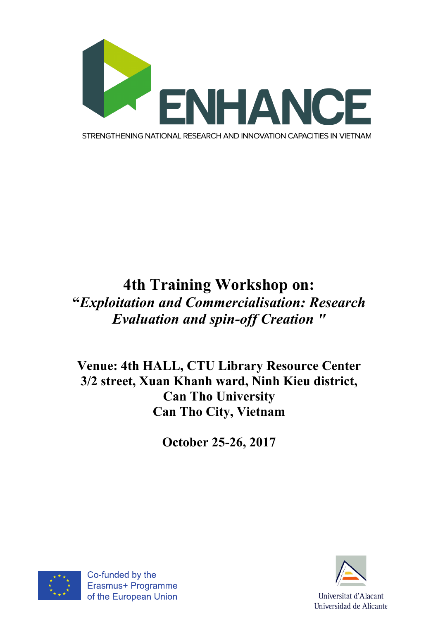

## **4th Training Workshop on: "***Exploitation and Commercialisation: Research Evaluation and spin-off Creation "*

**Venue: 4th HALL, CTU Library Resource Center 3/2 street, Xuan Khanh ward, Ninh Kieu district, Can Tho University Can Tho City, Vietnam**

**October 25-26, 2017**





Universitat d'Alacant Universidad de Alicante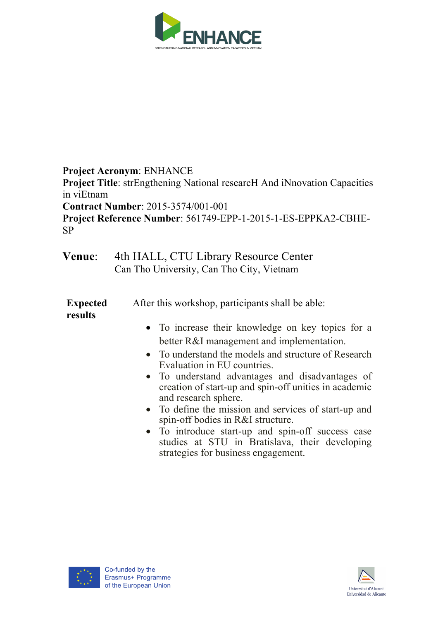

**Project Acronym**: ENHANCE **Project Title**: strEngthening National researcH And iNnovation Capacities in viEtnam **Contract Number**: 2015-3574/001-001 **Project Reference Number**: 561749-EPP-1-2015-1-ES-EPPKA2-CBHE-SP

**Venue**: 4th HALL, CTU Library Resource Center Can Tho University, Can Tho City, Vietnam

**Expected results** After this workshop, participants shall be able:

- To increase their knowledge on key topics for a better R&I management and implementation.
- To understand the models and structure of Research Evaluation in EU countries.
- To understand advantages and disadvantages of creation of start-up and spin-off unities in academic and research sphere.
- To define the mission and services of start-up and spin-off bodies in R&I structure.
- To introduce start-up and spin-off success case studies at STU in Bratislava, their developing strategies for business engagement.



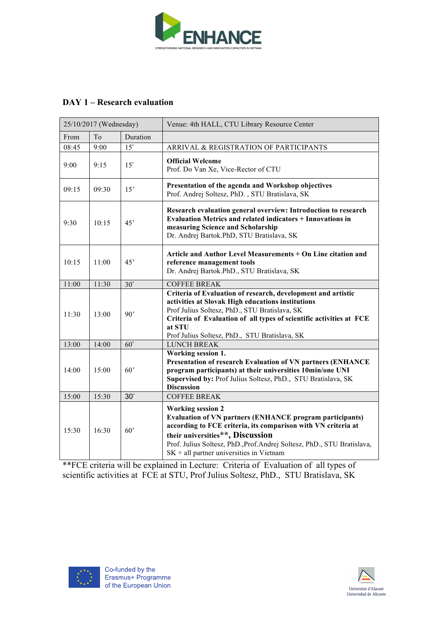

## **DAY 1 – Research evaluation**

| 25/10/2017 (Wednesday) |                |                  | Venue: 4th HALL, CTU Library Resource Center                                                                                                                                                                                                                                                                              |
|------------------------|----------------|------------------|---------------------------------------------------------------------------------------------------------------------------------------------------------------------------------------------------------------------------------------------------------------------------------------------------------------------------|
| From                   | T <sub>o</sub> | Duration         |                                                                                                                                                                                                                                                                                                                           |
| 08:45                  | 9:00           | 15'              | ARRIVAL & REGISTRATION OF PARTICIPANTS                                                                                                                                                                                                                                                                                    |
| 9:00                   | 9:15           | 15'              | <b>Official Welcome</b><br>Prof. Do Van Xe, Vice-Rector of CTU                                                                                                                                                                                                                                                            |
| 09:15                  | 09:30          | 15'              | Presentation of the agenda and Workshop objectives<br>Prof. Andrej Soltesz, PhD., STU Bratislava, SK                                                                                                                                                                                                                      |
| 9:30                   | 10:15          | 45'              | Research evaluation general overview: Introduction to research<br>Evaluation Metrics and related indicators + Innovations in<br>measuring Science and Scholarship<br>Dr. Andrej Bartok.PhD, STU Bratislava, SK                                                                                                            |
| 10:15                  | 11:00          | 45'              | Article and Author Level Measurements + On Line citation and<br>reference management tools<br>Dr. Andrej Bartok.PhD., STU Bratislava, SK                                                                                                                                                                                  |
| 11:00                  | 11:30          | 30'              | <b>COFFEE BREAK</b>                                                                                                                                                                                                                                                                                                       |
| 11:30                  | 13:00          | 90'              | Criteria of Evaluation of research, development and artistic<br>activities at Slovak High educations institutions<br>Prof Julius Soltesz, PhD., STU Bratislava, SK<br>Criteria of Evaluation of all types of scientific activities at FCE<br>at STU<br>Prof Julius Soltesz, PhD., STU Bratislava, SK                      |
| 13:00                  | 14:00          | $\overline{60'}$ | <b>LUNCH BREAK</b>                                                                                                                                                                                                                                                                                                        |
| 14:00                  | 15:00          | 60'              | Working session 1.<br>Presentation of research Evaluation of VN partners (ENHANCE<br>program participants) at their universities 10min/one UNI<br>Supervised by: Prof Julius Soltesz, PhD., STU Bratislava, SK<br><b>Discussion</b>                                                                                       |
| 15:00                  | 15:30          | 30'              | <b>COFFEE BREAK</b>                                                                                                                                                                                                                                                                                                       |
| 15:30                  | 16:30          | 60'              | <b>Working session 2</b><br><b>Evaluation of VN partners (ENHANCE program participants)</b><br>according to FCE criteria, its comparison with VN criteria at<br>their universities**, Discussion<br>Prof. Julius Soltesz, PhD., Prof. Andrej Soltesz, PhD., STU Bratislava,<br>$SK + all$ partner universities in Vietnam |

\*\*FCE criteria will be explained in Lecture: Criteria of Evaluation of all types of scientific activities at FCE at STU, Prof Julius Soltesz, PhD., STU Bratislava, SK